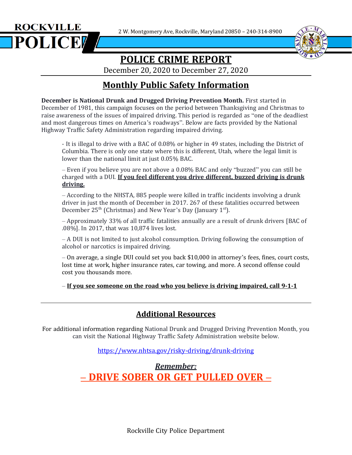2 W. Montgomery Ave, Rockville, Maryland 20850 – 240-314-8900





# **POLICE CRIME REPORT**

December 20, 2020 to December 27, 2020

# **Monthly Public Safety Information**

**December is National Drunk and Drugged Driving Prevention Month.** First started in December of 1981, this campaign focuses on the period between Thanksgiving and Christmas to raise awareness of the issues of impaired driving. This period is regarded as "one of the deadliest and most dangerous times on America's roadways". Below are facts provided by the National Highway Traffic Safety Administration regarding impaired driving.

- It is illegal to drive with a BAC of 0.08% or higher in 49 states, including the District of Columbia. There is only one state where this is different, Utah, where the legal limit is lower than the national limit at just 0.05% BAC.

– Even if you believe you are not above a 0.08% BAC and only "buzzed" you can still be charged with a DUI. **If you feel different you drive different, buzzed driving is drunk driving.**

– According to the NHSTA, 885 people were killed in traffic incidents involving a drunk driver in just the month of December in 2017. 267 of these fatalities occurred between December 25<sup>th</sup> (Christmas) and New Year's Day (January 1<sup>st</sup>).

– Approximately 33% of all traffic fatalities annually are a result of drunk drivers [BAC of .08%]. In 2017, that was 10,874 lives lost.

– A DUI is not limited to just alcohol consumption. Driving following the consumption of alcohol or narcotics is impaired driving.

– On average, a single DUI could set you back \$10,000 in attorney's fees, fines, court costs, lost time at work, higher insurance rates, car towing, and more. A second offense could cost you thousands more.

*–* **If you see someone on the road who you believe is driving impaired, call 9-1-1**

#### **Additional Resources**

For additional information regarding National Drunk and Drugged Driving Prevention Month, you can visit the National Highway Traffic Safety Administration website below.

<https://www.nhtsa.gov/risky-driving/drunk-driving>

*Remember: –* **DRIVE SOBER OR GET PULLED OVER –**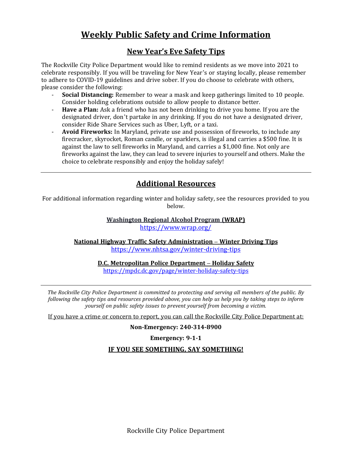## **Weekly Public Safety and Crime Information**

#### **New Year's Eve Safety Tips**

The Rockville City Police Department would like to remind residents as we move into 2021 to celebrate responsibly. If you will be traveling for New Year's or staying locally, please remember to adhere to COVID-19 guidelines and drive sober. If you do choose to celebrate with others, please consider the following:

- **Social Distancing:** Remember to wear a mask and keep gatherings limited to 10 people. Consider holding celebrations outside to allow people to distance better.
- **Have a Plan:** Ask a friend who has not been drinking to drive you home. If you are the designated driver, don't partake in any drinking. If you do not have a designated driver, consider Ride Share Services such as Uber, Lyft, or a taxi.
- **Avoid Fireworks:** In Maryland, private use and possession of fireworks, to include any firecracker, skyrocket, Roman candle, or sparklers, is illegal and carries a \$500 fine. It is against the law to sell fireworks in Maryland, and carries a \$1,000 fine. Not only are fireworks against the law, they can lead to severe injuries to yourself and others. Make the choice to celebrate responsibly and enjoy the holiday safely!

### **Additional Resources**

For additional information regarding winter and holiday safety, see the resources provided to you below.

> **Washington Regional Alcohol Program (WRAP)** <https://www.wrap.org/>

**National Highway Traffic Safety Administration – Winter Driving Tips** <https://www.nhtsa.gov/winter-driving-tips>

> **D.C. Metropolitan Police Department – Holiday Safety** <https://mpdc.dc.gov/page/winter-holiday-safety-tips>

*The Rockville City Police Department is committed to protecting and serving all members of the public. By* following the safety tips and resources provided above, you can help us help you by taking steps to inform *yourself on public safety issues to prevent yourself from becoming a victim.*

If you have a crime or concern to report, you can call the Rockville City Police Department at:

**Non-Emergency: 240-314-8900**

**Emergency: 9-1-1**

**IF YOU SEE SOMETHING, SAY SOMETHING!**